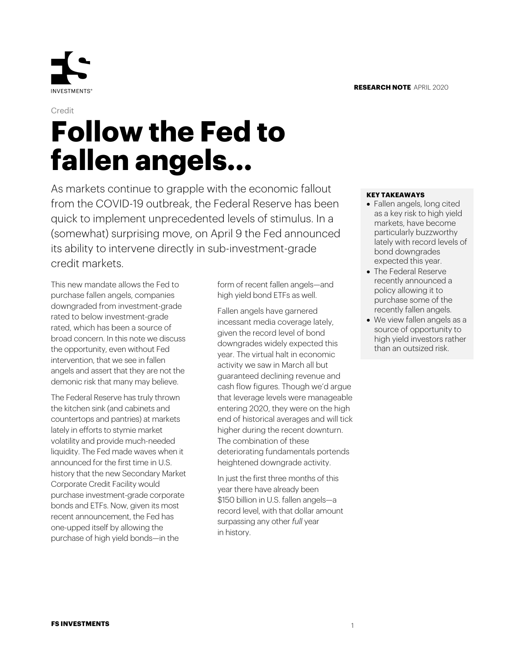

# Credit **Follow the Fed to fallen angels…**

As markets continue to grapple with the economic fallout from the COVID-19 outbreak, the Federal Reserve has been quick to implement unprecedented levels of stimulus. In a (somewhat) surprising move, on April 9 the Fed announced its ability to intervene directly in sub-investment-grade credit markets.

This new mandate allows the Fed to purchase fallen angels, companies downgraded from investment-grade rated to below investment-grade rated, which has been a source of broad concern. In this note we discuss the opportunity, even without Fed intervention, that we see in fallen angels and assert that they are not the demonic risk that many may believe.

The Federal Reserve has truly thrown the kitchen sink (and cabinets and countertops and pantries) at markets lately in efforts to stymie market volatility and provide much-needed liquidity. The Fed made waves when it announced for the first time in U.S. history that the new Secondary Market Corporate Credit Facility would purchase investment-grade corporate bonds and ETFs. Now, given its most recent announcement, the Fed has one-upped itself by allowing the purchase of high yield bonds—in the

form of recent fallen angels—and high yield bond ETFs as well.

Fallen angels have garnered incessant media coverage lately, given the record level of bond downgrades widely expected this year. The virtual halt in economic activity we saw in March all but guaranteed declining revenue and cash flow figures. Though we'd argue that leverage levels were manageable entering 2020, they were on the high end of historical averages and will tick higher during the recent downturn. The combination of these deteriorating fundamentals portends heightened downgrade activity.

In just the first three months of this year there have already been \$150 billion in U.S. fallen angels—a record level, with that dollar amount surpassing any other *full* year in history.

#### **KEY TAKEAWAYS**

- Fallen angels, long cited as a key risk to high yield markets, have become particularly buzzworthy lately with record levels of bond downgrades expected this year.
- The Federal Reserve recently announced a policy allowing it to purchase some of the recently fallen angels.
- We view fallen angels as a source of opportunity to high yield investors rather than an outsized risk.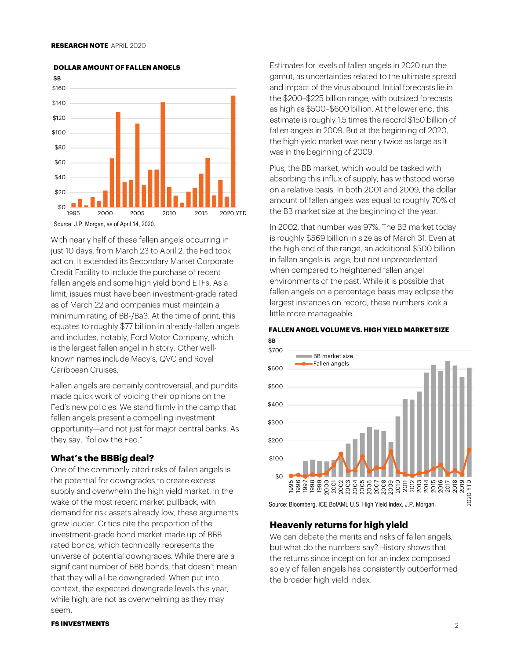

**DOLLAR AMOUNT OF FALLEN ANGELS**

With nearly half of these fallen angels occurring in just 10 days, from March 23 to April 2, the Fed took action. It extended its Secondary Market Corporate Credit Facility to include the purchase of recent fallen angels and some high yield bond ETFs. As a limit, issues must have been investment-grade rated as of March 22 and companies must maintain a minimum rating of BB-/Ba3. At the time of print, this equates to roughly \$77 billion in already-fallen angels and includes, notably, Ford Motor Company, which is the largest fallen angel in history. Other wellknown names include Macy's, QVC and Royal Caribbean Cruises.

Fallen angels are certainly controversial, and pundits made quick work of voicing their opinions on the Fed's new policies. We stand firmly in the camp that fallen angels present a compelling investment opportunity—and not just for major central banks. As they say, "follow the Fed."

# **What's the BBBig deal?**

One of the commonly cited risks of fallen angels is the potential for downgrades to create excess supply and overwhelm the high yield market. In the wake of the most recent market pullback, with demand for risk assets already low, these arguments grew louder. Critics cite the proportion of the investment-grade bond market made up of BBB rated bonds, which technically represents the universe of potential downgrades. While there are a significant number of BBB bonds, that doesn't mean that they will all be downgraded. When put into context, the expected downgrade levels this year, while high, are not as overwhelming as they may seem.

Estimates for levels of fallen angels in 2020 run the gamut, as uncertainties related to the ultimate spread and impact of the virus abound. Initial forecasts lie in the \$200–\$225 billion range, with outsized forecasts as high as \$500–\$600 billion. At the lower end, this estimate is roughly 1.5 times the record \$150 billion of fallen angels in 2009. But at the beginning of 2020, the high yield market was nearly twice as large as it was in the beginning of 2009.

Plus, the BB market, which would be tasked with absorbing this influx of supply, has withstood worse on a relative basis. In both 2001 and 2009, the dollar amount of fallen angels was equal to roughly 70% of the BB market size at the beginning of the year.

In 2002, that number was 97%. The BB market today is roughly \$569 billion in size as of March 31. Even at the high end of the range, an additional \$500 billion in fallen angels is large, but not unprecedented when compared to heightened fallen angel environments of the past. While it is possible that fallen angels on a percentage basis may eclipse the largest instances on record, these numbers look a little more manageable.



\$B **FALLEN ANGEL VOLUME VS. HIGH YIELD MARKET SIZE**

Source: Bloomberg, ICE BofAML U.S. High Yield Index, J.P. Morgan.

## **Heavenly returns for high yield**

We can debate the merits and risks of fallen angels, but what do the numbers say? History shows that the returns since inception for an index composed solely of fallen angels has consistently outperformed the broader high yield index.

#### **FS INVESTMENTS**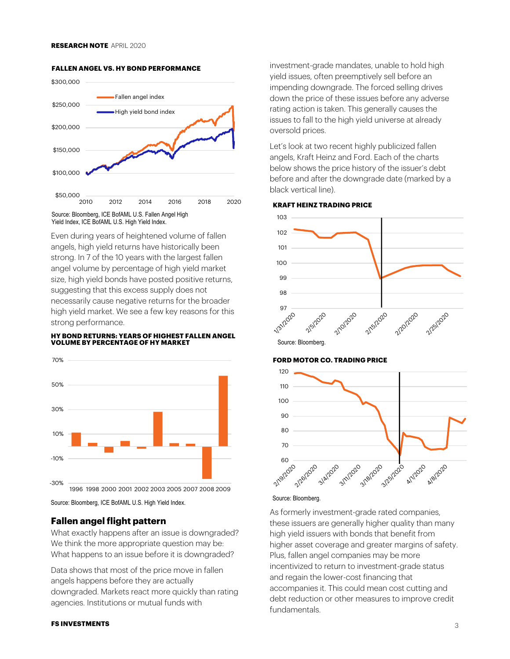

#### **FALLEN ANGEL VS. HY BOND PERFORMANCE**

Source: Bloomberg, ICE BofAML U.S. Fallen Angel High Yield Index, ICE BofAML U.S. High Yield Index.

Even during years of heightened volume of fallen angels, high yield returns have historically been strong. In 7 of the 10 years with the largest fallen angel volume by percentage of high yield market size, high yield bonds have posted positive returns, suggesting that this excess supply does not necessarily cause negative returns for the broader high yield market. We see a few key reasons for this strong performance.

#### **HY BOND RETURNS: YEARS OF HIGHEST FALLEN ANGEL VOLUME BY PERCENTAGE OF HY MARKET**



Source: Bloomberg, ICE BofAML U.S. High Yield Index.

## **Fallen angel flight pattern**

What exactly happens after an issue is downgraded? We think the more appropriate question may be: What happens to an issue before it is downgraded?

Data shows that most of the price move in fallen angels happens before they are actually downgraded. Markets react more quickly than rating agencies. Institutions or mutual funds with

#### **FS INVESTMENTS**

investment-grade mandates, unable to hold high yield issues, often preemptively sell before an impending downgrade. The forced selling drives down the price of these issues before any adverse rating action is taken. This generally causes the issues to fall to the high yield universe at already oversold prices.

Let's look at two recent highly publicized fallen angels, Kraft Heinz and Ford. Each of the charts below shows the price history of the issuer's debt before and after the downgrade date (marked by a black vertical line).

#### **KRAFT HEINZ TRADING PRICE**



#### **FORD MOTOR CO. TRADING PRICE**



## Source: Bloomberg.

As formerly investment-grade rated companies, these issuers are generally higher quality than many high yield issuers with bonds that benefit from higher asset coverage and greater margins of safety. Plus, fallen angel companies may be more incentivized to return to investment-grade status and regain the lower-cost financing that accompanies it. This could mean cost cutting and debt reduction or other measures to improve credit fundamentals.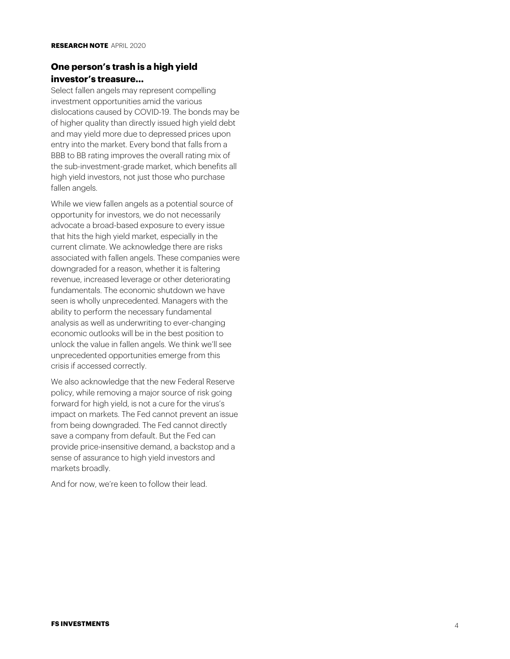# **One person's trash is a high yield investor's treasure…**

Select fallen angels may represent compelling investment opportunities amid the various dislocations caused by COVID -19. The bonds may be of higher quality than directly issued high yield debt and may yield more due to depressed prices upon entry into the market. Every bond that falls from a BBB to BB rating improves the overall rating mix of the sub -investment -grade market, which benefits all high yield investors, not just those who purchase fallen angels.<br>While we view fallen angels as a potential source of

opportunity for investors, we do not necessarily advocate a broad -based exposure to every issue that hits the high yield market, especially in the current climate. We acknowledge there are risks associated with fallen angels. These companies were downgraded for a reason, whether it is faltering revenue, increased leverage or other deteriorating fundamentals. The economic shutdown we have seen is wholly unprecedented. Managers with the ability to perform the necessary fundamental analysis as well as underwriting to ever -changing economic outlooks will be in the best position to unlock the value in fallen angels. We think we'll see unprecedented opportunities emerge from this crisis if accessed correctly.

We also acknowledge that the new Federal Reserve policy, while removing a major source of risk going forward for high yield, is not a cure for the virus's impact on markets. The Fed cannot prevent an issue from being downgraded. The Fed cannot directly save a company from default. But the Fed can provide price -insensitive demand, a backstop and a sense of assurance to high yield investors and markets broadly.

And for now, we're keen to follow their lead.